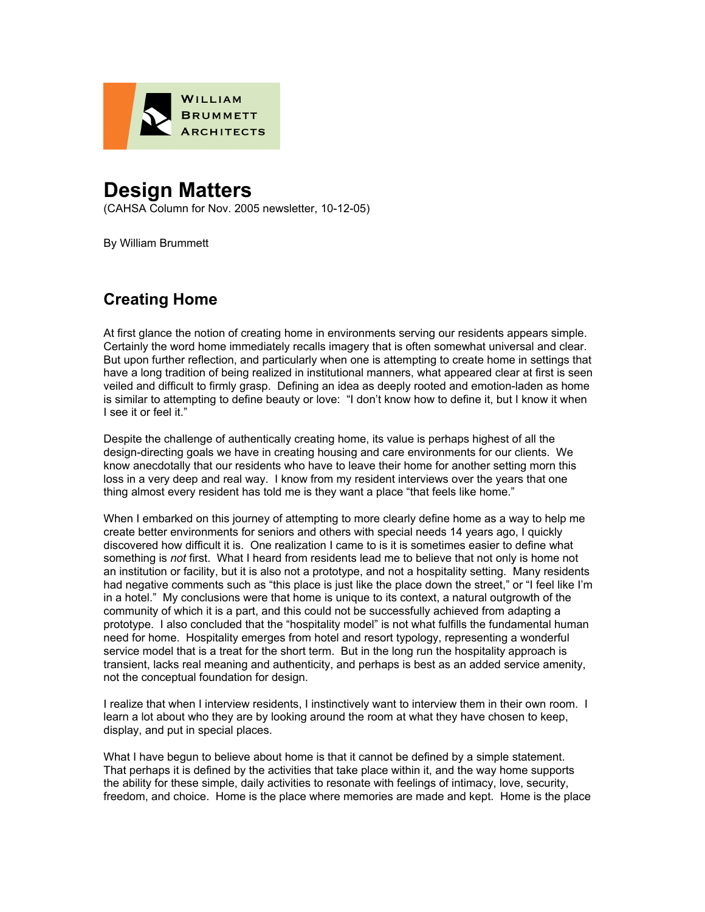

## **Design Matters**

(CAHSA Column for Nov. 2005 newsletter, 10-12-05)

By William Brummett

## **Creating Home**

At first glance the notion of creating home in environments serving our residents appears simple. Certainly the word home immediately recalls imagery that is often somewhat universal and clear. But upon further reflection, and particularly when one is attempting to create home in settings that have a long tradition of being realized in institutional manners, what appeared clear at first is seen veiled and difficult to firmly grasp. Defining an idea as deeply rooted and emotion-laden as home is similar to attempting to define beauty or love: "I don't know how to define it, but I know it when I see it or feel it."

Despite the challenge of authentically creating home, its value is perhaps highest of all the design-directing goals we have in creating housing and care environments for our clients. We know anecdotally that our residents who have to leave their home for another setting morn this loss in a very deep and real way. I know from my resident interviews over the years that one thing almost every resident has told me is they want a place "that feels like home."

When I embarked on this journey of attempting to more clearly define home as a way to help me create better environments for seniors and others with special needs 14 years ago, I quickly discovered how difficult it is. One realization I came to is it is sometimes easier to define what something is *not* first. What I heard from residents lead me to believe that not only is home not an institution or facility, but it is also not a prototype, and not a hospitality setting. Many residents had negative comments such as "this place is just like the place down the street," or "I feel like I'm in a hotel." My conclusions were that home is unique to its context, a natural outgrowth of the community of which it is a part, and this could not be successfully achieved from adapting a prototype. I also concluded that the "hospitality model" is not what fulfills the fundamental human need for home. Hospitality emerges from hotel and resort typology, representing a wonderful service model that is a treat for the short term. But in the long run the hospitality approach is transient, lacks real meaning and authenticity, and perhaps is best as an added service amenity, not the conceptual foundation for design.

I realize that when I interview residents, I instinctively want to interview them in their own room. I learn a lot about who they are by looking around the room at what they have chosen to keep, display, and put in special places.

What I have begun to believe about home is that it cannot be defined by a simple statement. That perhaps it is defined by the activities that take place within it, and the way home supports the ability for these simple, daily activities to resonate with feelings of intimacy, love, security, freedom, and choice. Home is the place where memories are made and kept. Home is the place